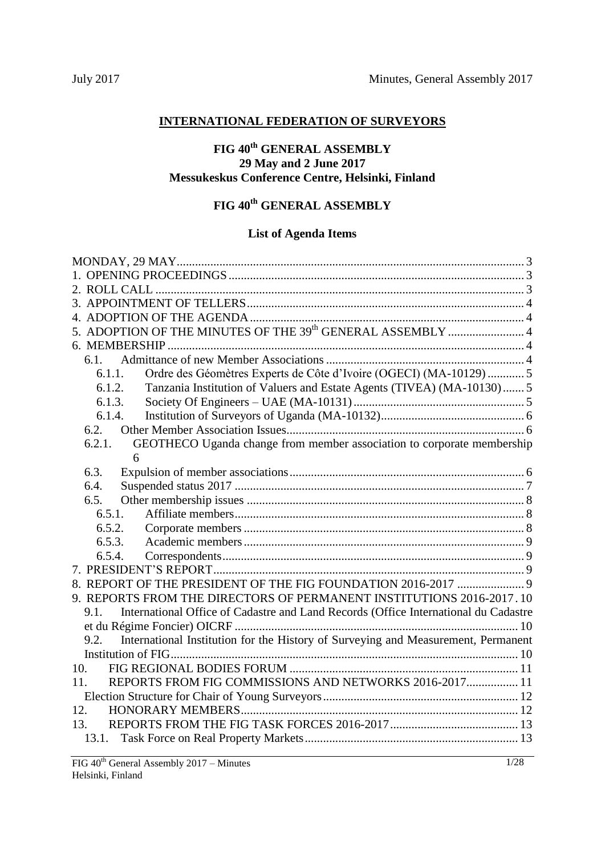## **INTERNATIONAL FEDERATION OF SURVEYORS**

## **FIG 40th GENERAL ASSEMBLY 29 May and 2 June 2017 Messukeskus Conference Centre, Helsinki, Finland**

# **FIG 40th GENERAL ASSEMBLY**

## **List of Agenda Items**

| 5. ADOPTION OF THE MINUTES OF THE 39 <sup>th</sup> GENERAL ASSEMBLY  4                      |
|---------------------------------------------------------------------------------------------|
|                                                                                             |
| 6.1.                                                                                        |
| Ordre des Géomètres Experts de Côte d'Ivoire (OGECI) (MA-10129) 5<br>6.1.1.                 |
| Tanzania Institution of Valuers and Estate Agents (TIVEA) (MA-10130) 5<br>6.1.2.            |
| 6.1.3.                                                                                      |
| 6.1.4.                                                                                      |
| 6.2.                                                                                        |
| GEOTHECO Uganda change from member association to corporate membership<br>6.2.1.            |
| 6                                                                                           |
| 6.3.                                                                                        |
| 6.4.                                                                                        |
| 6.5.                                                                                        |
| 6.5.1.                                                                                      |
| 6.5.2.                                                                                      |
| 6.5.3.                                                                                      |
| 6.5.4.                                                                                      |
|                                                                                             |
|                                                                                             |
| 9. REPORTS FROM THE DIRECTORS OF PERMANENT INSTITUTIONS 2016-2017.10                        |
| International Office of Cadastre and Land Records (Office International du Cadastre<br>9.1. |
|                                                                                             |
| 9.2.<br>International Institution for the History of Surveying and Measurement, Permanent   |
|                                                                                             |
| 10.                                                                                         |
| REPORTS FROM FIG COMMISSIONS AND NETWORKS 2016-2017 11<br>11.                               |
|                                                                                             |
| 12.                                                                                         |
| 13.                                                                                         |
| 13.1.                                                                                       |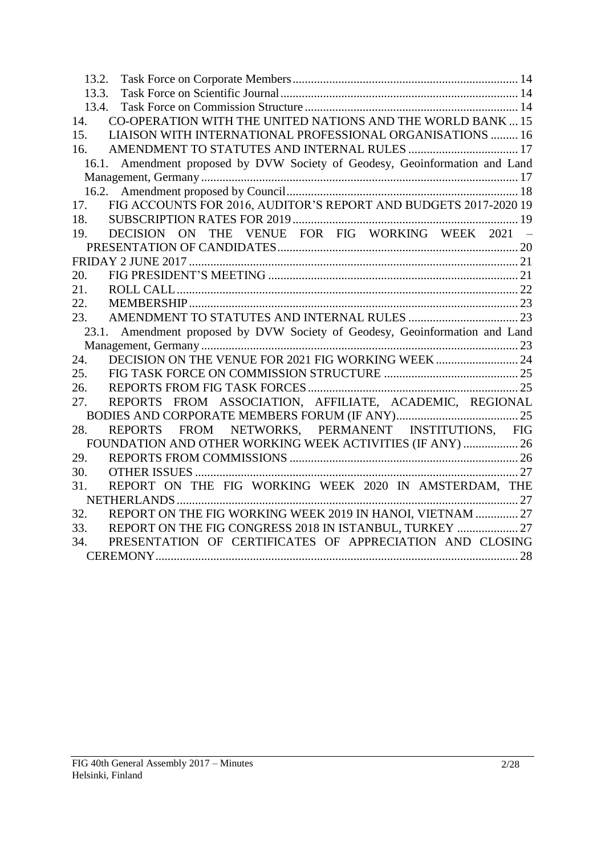| 13.2.                                                                       |
|-----------------------------------------------------------------------------|
| 13.3.                                                                       |
| 13.4.                                                                       |
| CO-OPERATION WITH THE UNITED NATIONS AND THE WORLD BANK  15<br>14.          |
| 15.<br>LIAISON WITH INTERNATIONAL PROFESSIONAL ORGANISATIONS  16            |
| 16.                                                                         |
| 16.1. Amendment proposed by DVW Society of Geodesy, Geoinformation and Land |
|                                                                             |
|                                                                             |
| FIG ACCOUNTS FOR 2016, AUDITOR'S REPORT AND BUDGETS 2017-2020 19<br>17.     |
| 18.                                                                         |
| DECISION ON THE VENUE FOR FIG WORKING WEEK 2021 -<br>19.                    |
|                                                                             |
|                                                                             |
| 20.                                                                         |
| 21.                                                                         |
| 22.                                                                         |
| 23.                                                                         |
| 23.1. Amendment proposed by DVW Society of Geodesy, Geoinformation and Land |
|                                                                             |
| 24.                                                                         |
| 25.                                                                         |
| 26.                                                                         |
| REPORTS FROM ASSOCIATION, AFFILIATE, ACADEMIC, REGIONAL<br>27.              |
|                                                                             |
| FROM NETWORKS, PERMANENT INSTITUTIONS, FIG<br>28.<br>REPORTS                |
| FOUNDATION AND OTHER WORKING WEEK ACTIVITIES (IF ANY)  26                   |
| 29.                                                                         |
| 30.                                                                         |
| REPORT ON THE FIG WORKING WEEK 2020 IN AMSTERDAM, THE<br>31.                |
|                                                                             |
| REPORT ON THE FIG WORKING WEEK 2019 IN HANOI, VIETNAM  27<br>32.            |
| REPORT ON THE FIG CONGRESS 2018 IN ISTANBUL, TURKEY  27<br>33.              |
| PRESENTATION OF CERTIFICATES OF APPRECIATION AND CLOSING<br>34.             |
|                                                                             |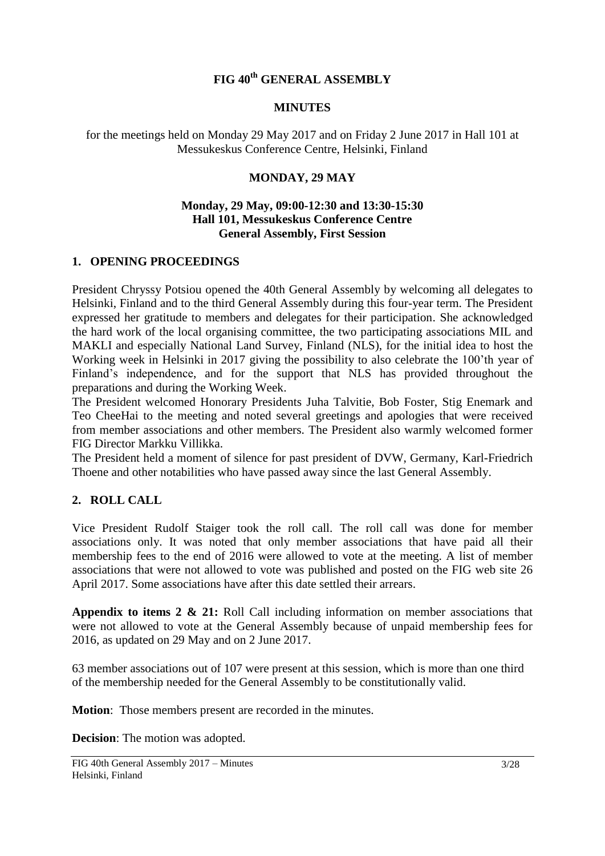## **FIG 40th GENERAL ASSEMBLY**

#### **MINUTES**

<span id="page-2-0"></span>for the meetings held on Monday 29 May 2017 and on Friday 2 June 2017 in Hall 101 at Messukeskus Conference Centre, Helsinki, Finland

### **MONDAY, 29 MAY**

#### **Monday, 29 May, 09:00-12:30 and 13:30-15:30 Hall 101, Messukeskus Conference Centre General Assembly, First Session**

### <span id="page-2-1"></span>**1. OPENING PROCEEDINGS**

President Chryssy Potsiou opened the 40th General Assembly by welcoming all delegates to Helsinki, Finland and to the third General Assembly during this four-year term. The President expressed her gratitude to members and delegates for their participation. She acknowledged the hard work of the local organising committee, the two participating associations MIL and MAKLI and especially National Land Survey, Finland (NLS), for the initial idea to host the Working week in Helsinki in 2017 giving the possibility to also celebrate the 100'th year of Finland's independence, and for the support that NLS has provided throughout the preparations and during the Working Week.

The President welcomed Honorary Presidents Juha Talvitie, Bob Foster, Stig Enemark and Teo CheeHai to the meeting and noted several greetings and apologies that were received from member associations and other members. The President also warmly welcomed former FIG Director Markku Villikka.

The President held a moment of silence for past president of DVW, Germany, Karl-Friedrich Thoene and other notabilities who have passed away since the last General Assembly.

### <span id="page-2-2"></span>**2. ROLL CALL**

Vice President Rudolf Staiger took the roll call. The roll call was done for member associations only. It was noted that only member associations that have paid all their membership fees to the end of 2016 were allowed to vote at the meeting. A list of member associations that were not allowed to vote was published and posted on the FIG web site 26 April 2017. Some associations have after this date settled their arrears.

**Appendix to items 2 & 21:** Roll Call including information on member associations that were not allowed to vote at the General Assembly because of unpaid membership fees for 2016, as updated on 29 May and on 2 June 2017.

63 member associations out of 107 were present at this session, which is more than one third of the membership needed for the General Assembly to be constitutionally valid.

**Motion**: Those members present are recorded in the minutes.

**Decision**: The motion was adopted.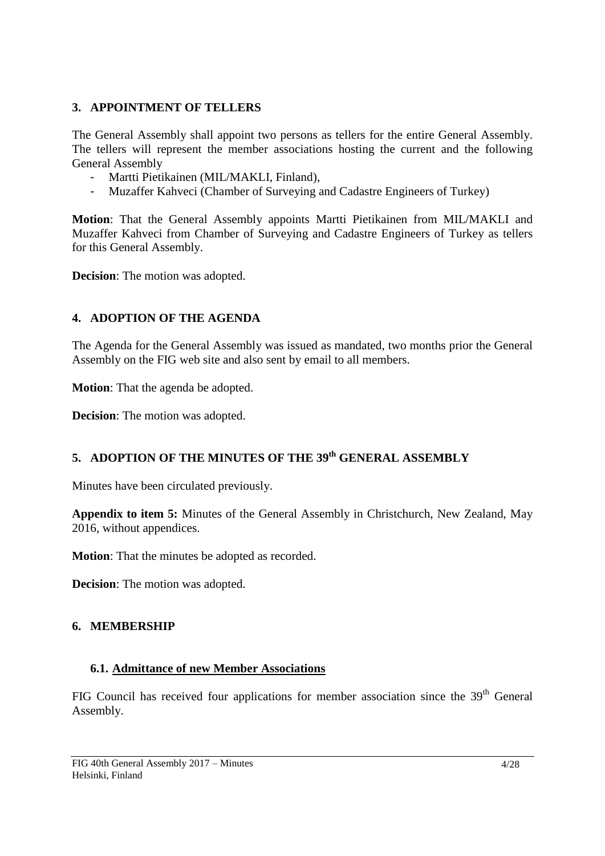## <span id="page-3-0"></span>**3. APPOINTMENT OF TELLERS**

The General Assembly shall appoint two persons as tellers for the entire General Assembly. The tellers will represent the member associations hosting the current and the following General Assembly

- Martti Pietikainen (MIL/MAKLI, Finland),
- Muzaffer Kahveci (Chamber of Surveying and Cadastre Engineers of Turkey)

**Motion**: That the General Assembly appoints Martti Pietikainen from MIL/MAKLI and Muzaffer Kahveci from Chamber of Surveying and Cadastre Engineers of Turkey as tellers for this General Assembly.

**Decision**: The motion was adopted.

## <span id="page-3-1"></span>**4. ADOPTION OF THE AGENDA**

The Agenda for the General Assembly was issued as mandated, two months prior the General Assembly on the FIG web site and also sent by email to all members.

**Motion**: That the agenda be adopted.

**Decision**: The motion was adopted.

## <span id="page-3-2"></span>**5. ADOPTION OF THE MINUTES OF THE 39 th GENERAL ASSEMBLY**

Minutes have been circulated previously.

**Appendix to item 5:** Minutes of the General Assembly in Christchurch, New Zealand, May 2016, without appendices.

**Motion**: That the minutes be adopted as recorded.

**Decision**: The motion was adopted.

### <span id="page-3-3"></span>**6. MEMBERSHIP**

### <span id="page-3-4"></span>**6.1. Admittance of new Member Associations**

FIG Council has received four applications for member association since the 39<sup>th</sup> General Assembly.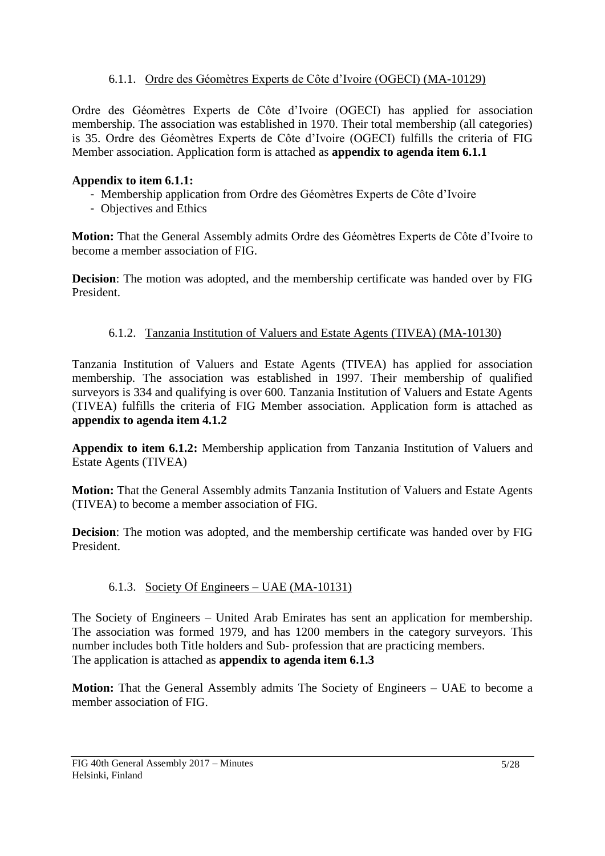## 6.1.1. Ordre des Géomètres Experts de Côte d'Ivoire (OGECI) (MA-10129)

<span id="page-4-0"></span>Ordre des Géomètres Experts de Côte d'Ivoire (OGECI) has applied for association membership. The association was established in 1970. Their total membership (all categories) is 35. Ordre des Géomètres Experts de Côte d'Ivoire (OGECI) fulfills the criteria of FIG Member association. Application form is attached as **appendix to agenda item 6.1.1**

### **Appendix to item 6.1.1:**

- Membership application from Ordre des Géomètres Experts de Côte d'Ivoire
- Objectives and Ethics

**Motion:** That the General Assembly admits Ordre des Géomètres Experts de Côte d'Ivoire to become a member association of FIG.

**Decision**: The motion was adopted, and the membership certificate was handed over by FIG President.

#### <span id="page-4-1"></span>6.1.2. Tanzania Institution of Valuers and Estate Agents (TIVEA) (MA-10130)

Tanzania Institution of Valuers and Estate Agents (TIVEA) has applied for association membership. The association was established in 1997. Their membership of qualified surveyors is 334 and qualifying is over 600. Tanzania Institution of Valuers and Estate Agents (TIVEA) fulfills the criteria of FIG Member association. Application form is attached as **appendix to agenda item 4.1.2**

**Appendix to item 6.1.2:** Membership application from Tanzania Institution of Valuers and Estate Agents (TIVEA)

**Motion:** That the General Assembly admits Tanzania Institution of Valuers and Estate Agents (TIVEA) to become a member association of FIG.

**Decision**: The motion was adopted, and the membership certificate was handed over by FIG President.

### <span id="page-4-2"></span>6.1.3. Society Of Engineers – UAE (MA-10131)

The Society of Engineers – United Arab Emirates has sent an application for membership. The association was formed 1979, and has 1200 members in the category surveyors. This number includes both Title holders and Sub- profession that are practicing members. The application is attached as **appendix to agenda item 6.1.3**

**Motion:** That the General Assembly admits The Society of Engineers – UAE to become a member association of FIG.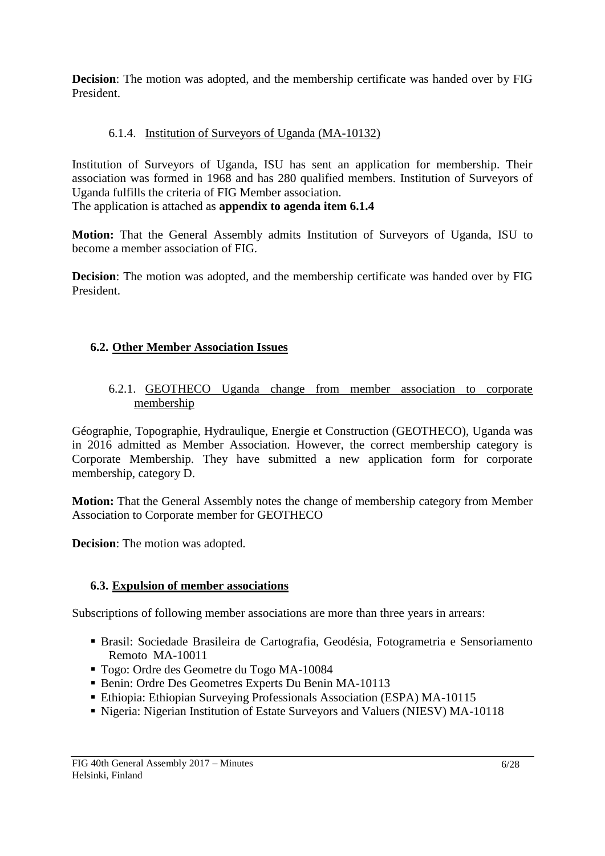**Decision**: The motion was adopted, and the membership certificate was handed over by FIG President.

## <span id="page-5-0"></span>6.1.4. Institution of Surveyors of Uganda (MA-10132)

Institution of Surveyors of Uganda, ISU has sent an application for membership. Their association was formed in 1968 and has 280 qualified members. Institution of Surveyors of Uganda fulfills the criteria of FIG Member association.

The application is attached as **appendix to agenda item 6.1.4**

**Motion:** That the General Assembly admits Institution of Surveyors of Uganda, ISU to become a member association of FIG.

**Decision**: The motion was adopted, and the membership certificate was handed over by FIG President.

## <span id="page-5-1"></span>**6.2. Other Member Association Issues**

<span id="page-5-2"></span>6.2.1. GEOTHECO Uganda change from member association to corporate membership

Géographie, Topographie, Hydraulique, Energie et Construction (GEOTHECO), Uganda was in 2016 admitted as Member Association. However, the correct membership category is Corporate Membership. They have submitted a new application form for corporate membership, category D.

**Motion:** That the General Assembly notes the change of membership category from Member Association to Corporate member for GEOTHECO

**Decision**: The motion was adopted.

## <span id="page-5-3"></span>**6.3. Expulsion of member associations**

Subscriptions of following member associations are more than three years in arrears:

- Brasil: Sociedade Brasileira de Cartografia, Geodésia, Fotogrametria e Sensoriamento Remoto MA-10011
- Togo: Ordre des Geometre du Togo MA-10084
- Benin: Ordre Des Geometres Experts Du Benin MA-10113
- Ethiopia: Ethiopian Surveying Professionals Association (ESPA) MA-10115
- Nigeria: Nigerian Institution of Estate Surveyors and Valuers (NIESV) MA-10118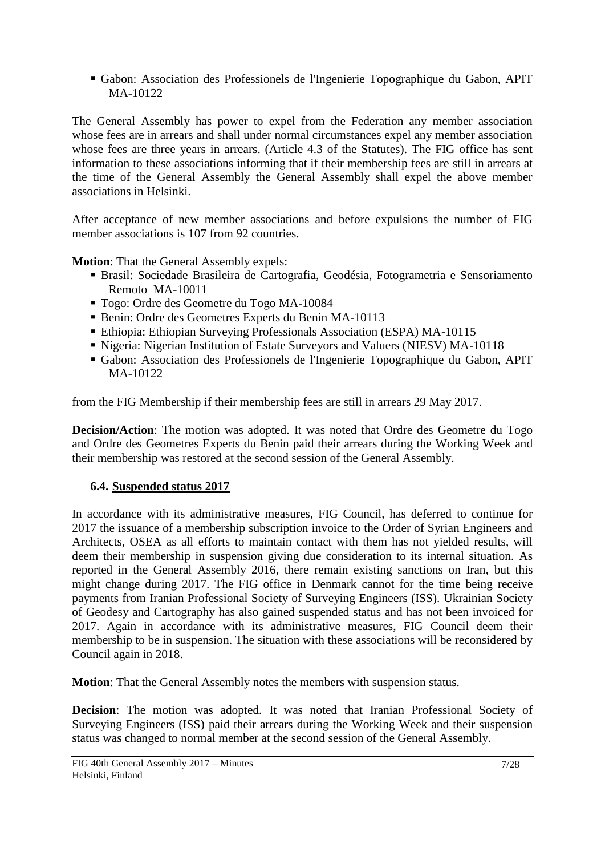Gabon: Association des Professionels de l'Ingenierie Topographique du Gabon, APIT MA-10122

The General Assembly has power to expel from the Federation any member association whose fees are in arrears and shall under normal circumstances expel any member association whose fees are three years in arrears. (Article 4.3 of the Statutes). The FIG office has sent information to these associations informing that if their membership fees are still in arrears at the time of the General Assembly the General Assembly shall expel the above member associations in Helsinki.

After acceptance of new member associations and before expulsions the number of FIG member associations is 107 from 92 countries.

**Motion**: That the General Assembly expels:

- Brasil: Sociedade Brasileira de Cartografia, Geodésia, Fotogrametria e Sensoriamento Remoto MA-10011
- Togo: Ordre des Geometre du Togo MA-10084
- Benin: Ordre des Geometres Experts du Benin MA-10113
- Ethiopia: Ethiopian Surveying Professionals Association (ESPA) MA-10115
- Nigeria: Nigerian Institution of Estate Surveyors and Valuers (NIESV) MA-10118
- Gabon: Association des Professionels de l'Ingenierie Topographique du Gabon, APIT MA-10122

from the FIG Membership if their membership fees are still in arrears 29 May 2017.

**Decision/Action**: The motion was adopted. It was noted that Ordre des Geometre du Togo and Ordre des Geometres Experts du Benin paid their arrears during the Working Week and their membership was restored at the second session of the General Assembly.

## <span id="page-6-0"></span>**6.4. Suspended status 2017**

In accordance with its administrative measures, FIG Council, has deferred to continue for 2017 the issuance of a membership subscription invoice to the Order of Syrian Engineers and Architects, OSEA as all efforts to maintain contact with them has not yielded results, will deem their membership in suspension giving due consideration to its internal situation. As reported in the General Assembly 2016, there remain existing sanctions on Iran, but this might change during 2017. The FIG office in Denmark cannot for the time being receive payments from Iranian Professional Society of Surveying Engineers (ISS). Ukrainian Society of Geodesy and Cartography has also gained suspended status and has not been invoiced for 2017. Again in accordance with its administrative measures, FIG Council deem their membership to be in suspension. The situation with these associations will be reconsidered by Council again in 2018.

**Motion**: That the General Assembly notes the members with suspension status.

**Decision**: The motion was adopted. It was noted that Iranian Professional Society of Surveying Engineers (ISS) paid their arrears during the Working Week and their suspension status was changed to normal member at the second session of the General Assembly.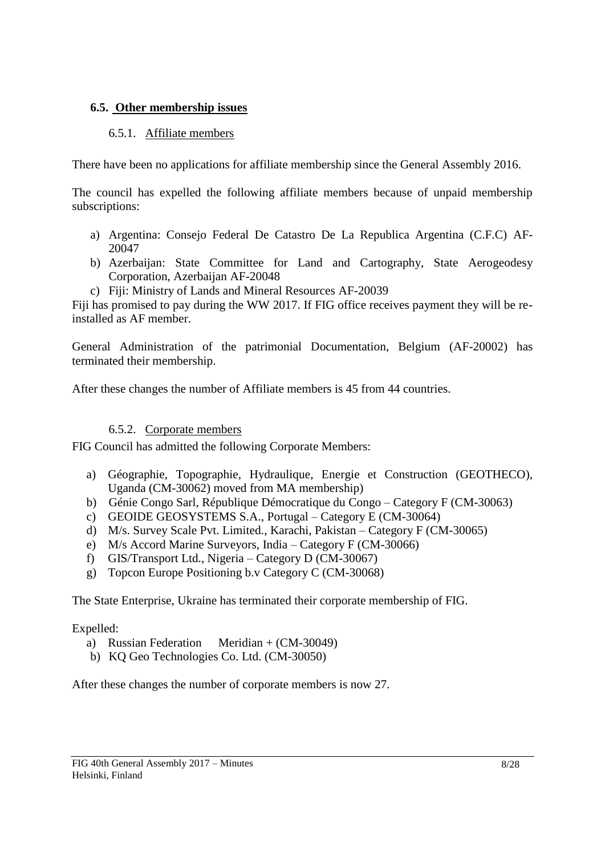### <span id="page-7-1"></span><span id="page-7-0"></span>**6.5. Other membership issues**

### 6.5.1. Affiliate members

There have been no applications for affiliate membership since the General Assembly 2016.

The council has expelled the following affiliate members because of unpaid membership subscriptions:

- a) Argentina: Consejo Federal De Catastro De La Republica Argentina (C.F.C) AF-20047
- b) Azerbaijan: State Committee for Land and Cartography, State Aerogeodesy Corporation, Azerbaijan AF-20048
- c) Fiji: Ministry of Lands and Mineral Resources AF-20039

Fiji has promised to pay during the WW 2017. If FIG office receives payment they will be reinstalled as AF member.

General Administration of the patrimonial Documentation, Belgium (AF-20002) has terminated their membership.

<span id="page-7-2"></span>After these changes the number of Affiliate members is 45 from 44 countries.

## 6.5.2. Corporate members

FIG Council has admitted the following Corporate Members:

- a) Géographie, Topographie, Hydraulique, Energie et Construction (GEOTHECO), Uganda (CM-30062) moved from MA membership)
- b) Génie Congo Sarl, République Démocratique du Congo Category F (CM-30063)
- c) GEOIDE GEOSYSTEMS S.A., Portugal Category E (CM-30064)
- d) M/s. Survey Scale Pvt. Limited., Karachi, Pakistan Category F (CM-30065)
- e) M/s Accord Marine Surveyors, India Category F (CM-30066)
- f) GIS/Transport Ltd., Nigeria Category D (CM-30067)
- g) Topcon Europe Positioning b.v Category C (CM-30068)

The State Enterprise, Ukraine has terminated their corporate membership of FIG.

Expelled:

- a) Russian Federation Meridian + (CM-30049)
- b) KQ Geo Technologies Co. Ltd. (CM-30050)

After these changes the number of corporate members is now 27.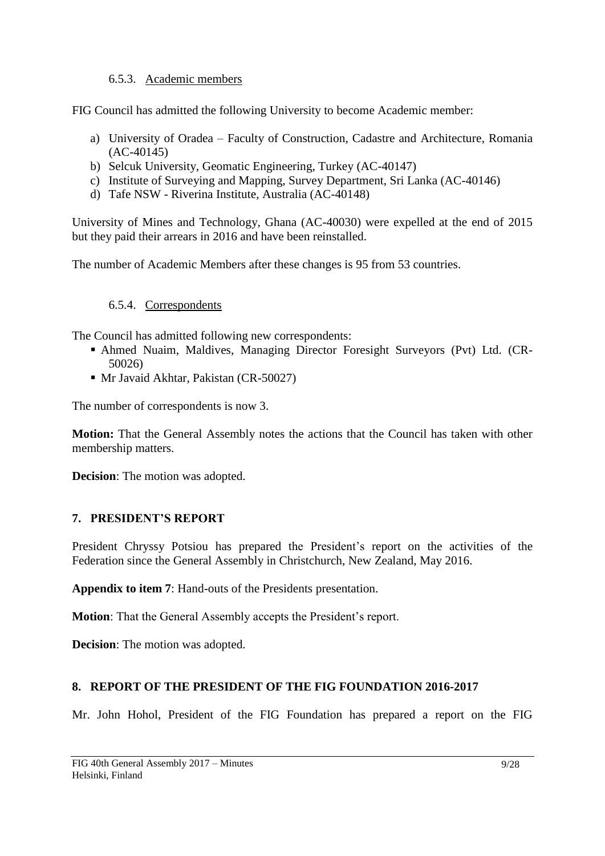## 6.5.3. Academic members

<span id="page-8-0"></span>FIG Council has admitted the following University to become Academic member:

- a) University of Oradea Faculty of Construction, Cadastre and Architecture, Romania (AC-40145)
- b) Selcuk University, Geomatic Engineering, Turkey (AC-40147)
- c) Institute of Surveying and Mapping, Survey Department, Sri Lanka (AC-40146)
- d) Tafe NSW Riverina Institute, Australia (AC-40148)

University of Mines and Technology, Ghana (AC-40030) were expelled at the end of 2015 but they paid their arrears in 2016 and have been reinstalled.

<span id="page-8-1"></span>The number of Academic Members after these changes is 95 from 53 countries.

## 6.5.4. Correspondents

The Council has admitted following new correspondents:

- Ahmed Nuaim, Maldives, Managing Director Foresight Surveyors (Pvt) Ltd. (CR-50026)
- Mr Javaid Akhtar, Pakistan (CR-50027)

The number of correspondents is now 3.

**Motion:** That the General Assembly notes the actions that the Council has taken with other membership matters.

**Decision**: The motion was adopted.

### <span id="page-8-2"></span>**7. PRESIDENT'S REPORT**

President Chryssy Potsiou has prepared the President's report on the activities of the Federation since the General Assembly in Christchurch, New Zealand, May 2016.

**Appendix to item 7**: Hand-outs of the Presidents presentation.

**Motion**: That the General Assembly accepts the President's report.

**Decision**: The motion was adopted.

## <span id="page-8-3"></span>**8. REPORT OF THE PRESIDENT OF THE FIG FOUNDATION 2016-2017**

Mr. John Hohol, President of the FIG Foundation has prepared a report on the FIG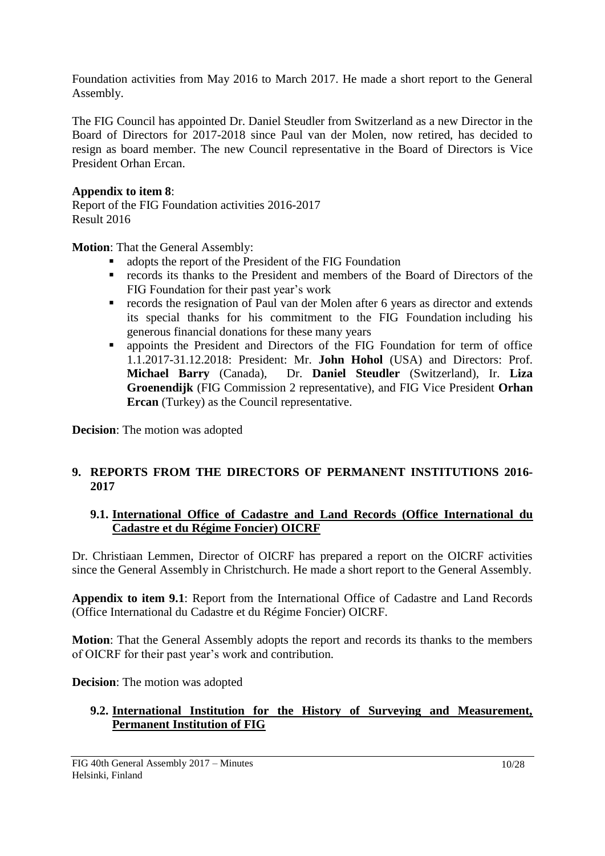Foundation activities from May 2016 to March 2017. He made a short report to the General Assembly.

The FIG Council has appointed Dr. Daniel Steudler from Switzerland as a new Director in the Board of Directors for 2017-2018 since Paul van der Molen, now retired, has decided to resign as board member. The new Council representative in the Board of Directors is Vice President Orhan Ercan.

## **Appendix to item 8**:

Report of the FIG Foundation activities 2016-2017 Result 2016

**Motion**: That the General Assembly:

- adopts the report of the President of the FIG Foundation<br>• records its thanks to the President and members of the
- records its thanks to the President and members of the Board of Directors of the FIG Foundation for their past year's work
- records the resignation of Paul van der Molen after 6 years as director and extends its special thanks for his commitment to the FIG Foundation including his generous financial donations for these many years
- appoints the President and Directors of the FIG Foundation for term of office 1.1.2017-31.12.2018: President: Mr. **John Hohol** (USA) and Directors: Prof. **Michael Barry** (Canada), Dr. **Daniel Steudler** (Switzerland), Ir. **Liza Groenendijk** (FIG Commission 2 representative), and FIG Vice President **Orhan Ercan** (Turkey) as the Council representative.

**Decision**: The motion was adopted

## <span id="page-9-0"></span>**9. REPORTS FROM THE DIRECTORS OF PERMANENT INSTITUTIONS 2016- 2017**

### <span id="page-9-1"></span>**9.1. International Office of Cadastre and Land Records (Office International du Cadastre et du Régime Foncier) OICRF**

Dr. Christiaan Lemmen, Director of OICRF has prepared a report on the OICRF activities since the General Assembly in Christchurch. He made a short report to the General Assembly.

**Appendix to item 9.1**: Report from the International Office of Cadastre and Land Records (Office International du Cadastre et du Régime Foncier) OICRF.

**Motion**: That the General Assembly adopts the report and records its thanks to the members of OICRF for their past year's work and contribution.

**Decision**: The motion was adopted

## <span id="page-9-2"></span>**9.2. International Institution for the History of Surveying and Measurement, Permanent Institution of FIG**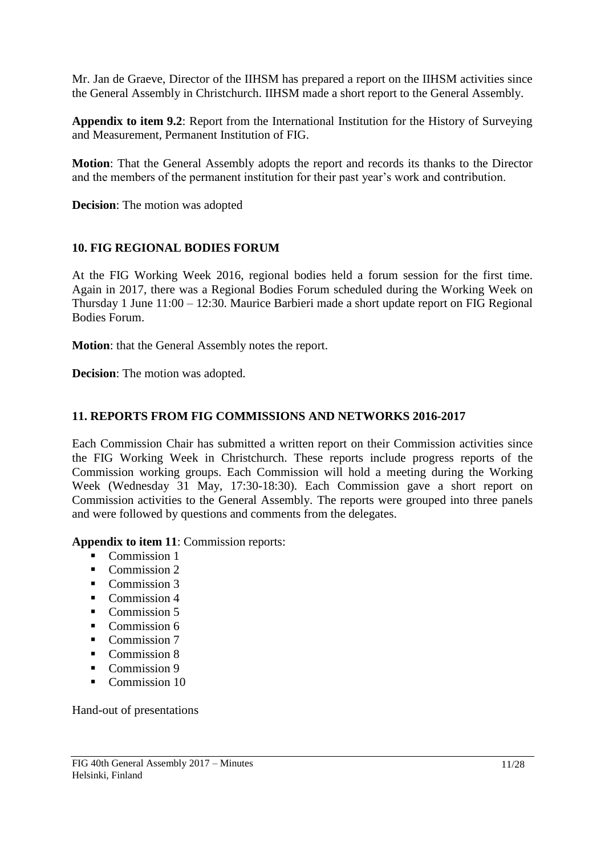Mr. Jan de Graeve, Director of the IIHSM has prepared a report on the IIHSM activities since the General Assembly in Christchurch. IIHSM made a short report to the General Assembly.

**Appendix to item 9.2**: Report from the International Institution for the History of Surveying and Measurement, Permanent Institution of FIG.

**Motion**: That the General Assembly adopts the report and records its thanks to the Director and the members of the permanent institution for their past year's work and contribution.

**Decision**: The motion was adopted

## <span id="page-10-0"></span>**10. FIG REGIONAL BODIES FORUM**

At the FIG Working Week 2016, regional bodies held a forum session for the first time. Again in 2017, there was a Regional Bodies Forum scheduled during the Working Week on Thursday 1 June 11:00 – 12:30. Maurice Barbieri made a short update report on FIG Regional Bodies Forum.

**Motion**: that the General Assembly notes the report.

**Decision**: The motion was adopted.

## <span id="page-10-1"></span>**11. REPORTS FROM FIG COMMISSIONS AND NETWORKS 2016-2017**

Each Commission Chair has submitted a written report on their Commission activities since the FIG Working Week in Christchurch. These reports include progress reports of the Commission working groups. Each Commission will hold a meeting during the Working Week (Wednesday 31 May, 17:30-18:30). Each Commission gave a short report on Commission activities to the General Assembly. The reports were grouped into three panels and were followed by questions and comments from the delegates.

**Appendix to item 11**: Commission reports:

- Commission 1
- Commission 2
- Commission 3
- Commission 4
- Commission 5
- Commission 6
- Commission 7
- Commission 8
- Commission 9
- Commission 10

Hand-out of presentations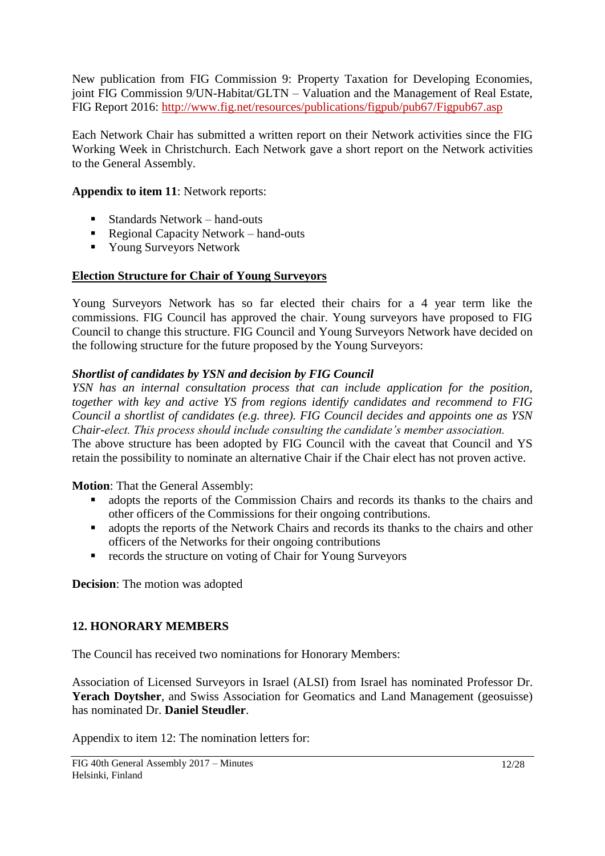New publication from FIG Commission 9: Property Taxation for Developing Economies, joint FIG Commission 9/UN-Habitat/GLTN – Valuation and the Management of Real Estate, FIG Report 2016:<http://www.fig.net/resources/publications/figpub/pub67/Figpub67.asp>

Each Network Chair has submitted a written report on their Network activities since the FIG Working Week in Christchurch. Each Network gave a short report on the Network activities to the General Assembly.

## **Appendix to item 11**: Network reports:

- Standards Network hand-outs
- Regional Capacity Network hand-outs
- Young Surveyors Network

### <span id="page-11-0"></span>**Election Structure for Chair of Young Surveyors**

Young Surveyors Network has so far elected their chairs for a 4 year term like the commissions. FIG Council has approved the chair. Young surveyors have proposed to FIG Council to change this structure. FIG Council and Young Surveyors Network have decided on the following structure for the future proposed by the Young Surveyors:

## *Shortlist of candidates by YSN and decision by FIG Council*

*YSN has an internal consultation process that can include application for the position, together with key and active YS from regions identify candidates and recommend to FIG Council a shortlist of candidates (e.g. three). FIG Council decides and appoints one as YSN Chair-elect. This process should include consulting the candidate's member association.* The above structure has been adopted by FIG Council with the caveat that Council and YS retain the possibility to nominate an alternative Chair if the Chair elect has not proven active.

### **Motion**: That the General Assembly:

- adopts the reports of the Commission Chairs and records its thanks to the chairs and other officers of the Commissions for their ongoing contributions.
- adopts the reports of the Network Chairs and records its thanks to the chairs and other officers of the Networks for their ongoing contributions
- **•** records the structure on voting of Chair for Young Surveyors

**Decision**: The motion was adopted

## <span id="page-11-1"></span>**12. HONORARY MEMBERS**

The Council has received two nominations for Honorary Members:

Association of Licensed Surveyors in Israel (ALSI) from Israel has nominated Professor Dr. **Yerach Doytsher**, and Swiss Association for Geomatics and Land Management (geosuisse) has nominated Dr. **Daniel Steudler**.

Appendix to item 12: The nomination letters for: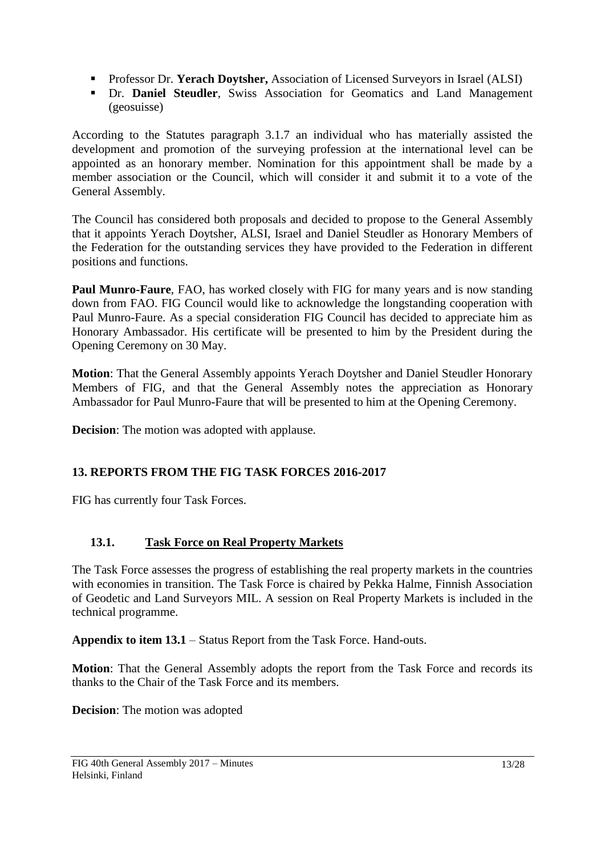- **Professor Dr. Yerach Doytsher, Association of Licensed Surveyors in Israel (ALSI)**
- Dr. **Daniel Steudler**, Swiss Association for Geomatics and Land Management (geosuisse)

According to the Statutes paragraph 3.1.7 an individual who has materially assisted the development and promotion of the surveying profession at the international level can be appointed as an honorary member. Nomination for this appointment shall be made by a member association or the Council, which will consider it and submit it to a vote of the General Assembly.

The Council has considered both proposals and decided to propose to the General Assembly that it appoints Yerach Doytsher, ALSI, Israel and Daniel Steudler as Honorary Members of the Federation for the outstanding services they have provided to the Federation in different positions and functions.

**Paul Munro-Faure**, FAO, has worked closely with FIG for many years and is now standing down from FAO. FIG Council would like to acknowledge the longstanding cooperation with Paul Munro-Faure. As a special consideration FIG Council has decided to appreciate him as Honorary Ambassador. His certificate will be presented to him by the President during the Opening Ceremony on 30 May.

**Motion**: That the General Assembly appoints Yerach Doytsher and Daniel Steudler Honorary Members of FIG, and that the General Assembly notes the appreciation as Honorary Ambassador for Paul Munro-Faure that will be presented to him at the Opening Ceremony.

**Decision:** The motion was adopted with applause.

## <span id="page-12-0"></span>**13. REPORTS FROM THE FIG TASK FORCES 2016-2017**

FIG has currently four Task Forces.

## <span id="page-12-1"></span>**13.1. Task Force on Real Property Markets**

The Task Force assesses the progress of establishing the real property markets in the countries with economies in transition. The Task Force is chaired by Pekka Halme, Finnish Association of Geodetic and Land Surveyors MIL. A session on Real Property Markets is included in the technical programme.

**Appendix to item 13.1** – Status Report from the Task Force. Hand-outs.

**Motion**: That the General Assembly adopts the report from the Task Force and records its thanks to the Chair of the Task Force and its members.

**Decision**: The motion was adopted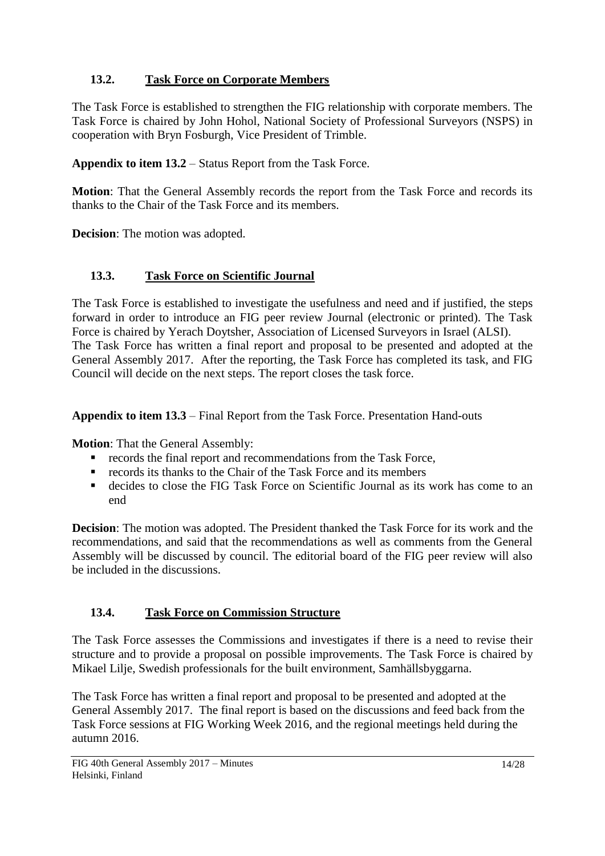## <span id="page-13-0"></span>**13.2. Task Force on Corporate Members**

The Task Force is established to strengthen the FIG relationship with corporate members. The Task Force is chaired by John Hohol, National Society of Professional Surveyors (NSPS) in cooperation with Bryn Fosburgh, Vice President of Trimble.

**Appendix to item 13.2** – Status Report from the Task Force.

**Motion**: That the General Assembly records the report from the Task Force and records its thanks to the Chair of the Task Force and its members.

**Decision**: The motion was adopted.

## <span id="page-13-1"></span>**13.3. Task Force on Scientific Journal**

The Task Force is established to investigate the usefulness and need and if justified, the steps forward in order to introduce an FIG peer review Journal (electronic or printed). The Task Force is chaired by Yerach Doytsher, Association of Licensed Surveyors in Israel (ALSI). The Task Force has written a final report and proposal to be presented and adopted at the General Assembly 2017. After the reporting, the Task Force has completed its task, and FIG Council will decide on the next steps. The report closes the task force.

**Appendix to item 13.3** – Final Report from the Task Force. Presentation Hand-outs

**Motion**: That the General Assembly:

- **records the final report and recommendations from the Task Force,**
- $\blacksquare$  records its thanks to the Chair of the Task Force and its members
- decides to close the FIG Task Force on Scientific Journal as its work has come to an end

**Decision**: The motion was adopted. The President thanked the Task Force for its work and the recommendations, and said that the recommendations as well as comments from the General Assembly will be discussed by council. The editorial board of the FIG peer review will also be included in the discussions.

## <span id="page-13-2"></span>**13.4. Task Force on Commission Structure**

The Task Force assesses the Commissions and investigates if there is a need to revise their structure and to provide a proposal on possible improvements. The Task Force is chaired by Mikael Lilje, Swedish professionals for the built environment, Samhällsbyggarna.

The Task Force has written a final report and proposal to be presented and adopted at the General Assembly 2017. The final report is based on the discussions and feed back from the Task Force sessions at FIG Working Week 2016, and the regional meetings held during the autumn 2016.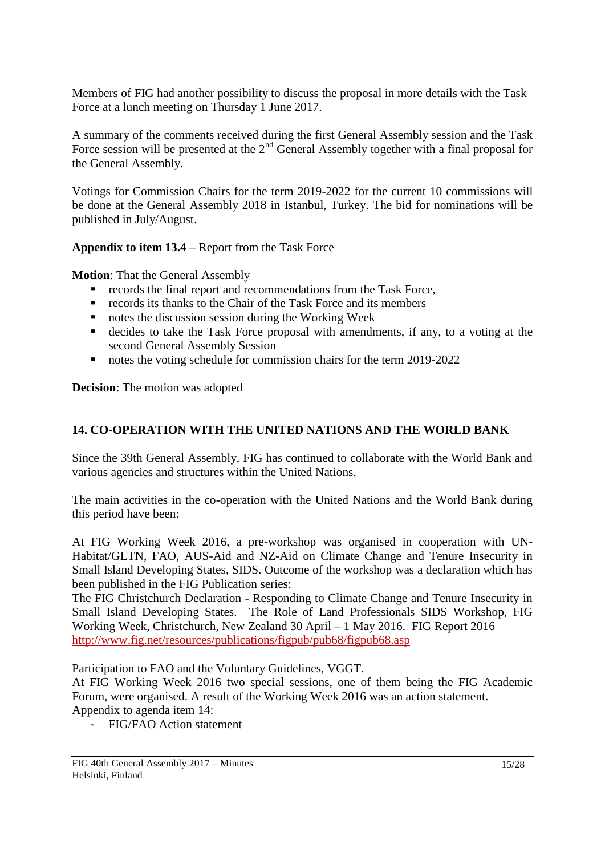Members of FIG had another possibility to discuss the proposal in more details with the Task Force at a lunch meeting on Thursday 1 June 2017.

A summary of the comments received during the first General Assembly session and the Task Force session will be presented at the  $2<sup>nd</sup>$  General Assembly together with a final proposal for the General Assembly.

Votings for Commission Chairs for the term 2019-2022 for the current 10 commissions will be done at the General Assembly 2018 in Istanbul, Turkey. The bid for nominations will be published in July/August.

## **Appendix to item 13.4** – Report from the Task Force

**Motion**: That the General Assembly

- records the final report and recommendations from the Task Force,
- records its thanks to the Chair of the Task Force and its members
- notes the discussion session during the Working Week
- decides to take the Task Force proposal with amendments, if any, to a voting at the second General Assembly Session
- notes the voting schedule for commission chairs for the term 2019-2022

**Decision**: The motion was adopted

## <span id="page-14-0"></span>**14. CO-OPERATION WITH THE UNITED NATIONS AND THE WORLD BANK**

Since the 39th General Assembly, FIG has continued to collaborate with the World Bank and various agencies and structures within the United Nations.

The main activities in the co-operation with the United Nations and the World Bank during this period have been:

At FIG Working Week 2016, a pre-workshop was organised in cooperation with UN-Habitat/GLTN, FAO, AUS-Aid and NZ-Aid on Climate Change and Tenure Insecurity in Small Island Developing States, SIDS. Outcome of the workshop was a declaration which has been published in the FIG Publication series:

The FIG Christchurch Declaration - Responding to Climate Change and Tenure Insecurity in Small Island Developing States. The Role of Land Professionals SIDS Workshop, FIG Working Week, Christchurch, New Zealand 30 April – 1 May 2016. FIG Report 2016 <http://www.fig.net/resources/publications/figpub/pub68/figpub68.asp>

Participation to FAO and the Voluntary Guidelines, VGGT.

At FIG Working Week 2016 two special sessions, one of them being the FIG Academic Forum, were organised. A result of the Working Week 2016 was an action statement. Appendix to agenda item 14:

- FIG/FAO Action statement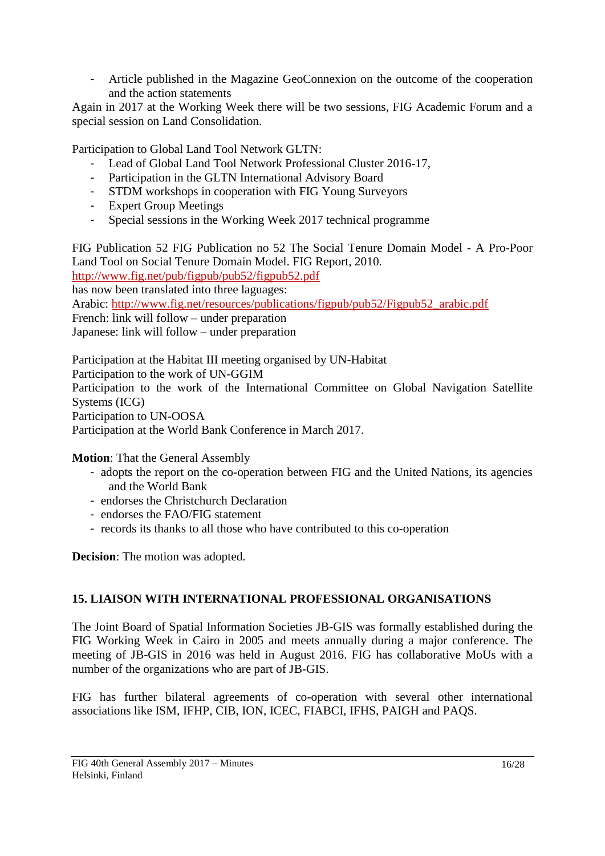- Article published in the Magazine GeoConnexion on the outcome of the cooperation and the action statements

Again in 2017 at the Working Week there will be two sessions, FIG Academic Forum and a special session on Land Consolidation.

Participation to Global Land Tool Network GLTN:

- Lead of Global Land Tool Network Professional Cluster 2016-17,
- Participation in the GLTN International Advisory Board
- STDM workshops in cooperation with FIG Young Surveyors
- Expert Group Meetings
- Special sessions in the Working Week 2017 technical programme

FIG Publication 52 FIG Publication no 52 The Social Tenure Domain Model - A Pro-Poor Land Tool on Social Tenure Domain Model. FIG Report, 2010. <http://www.fig.net/pub/figpub/pub52/figpub52.pdf> has now been translated into three laguages: Arabic: [http://www.fig.net/resources/publications/figpub/pub52/Figpub52\\_arabic.pdf](http://www.fig.net/resources/publications/figpub/pub52/Figpub52_arabic.pdf) French: link will follow – under preparation Japanese: link will follow – under preparation

Participation at the Habitat III meeting organised by UN-Habitat Participation to the work of UN-GGIM Participation to the work of the International Committee on Global Navigation Satellite Systems (ICG) Participation to UN-OOSA Participation at the World Bank Conference in March 2017.

**Motion**: That the General Assembly

- adopts the report on the co-operation between FIG and the United Nations, its agencies and the World Bank
- endorses the Christchurch Declaration
- endorses the FAO/FIG statement
- records its thanks to all those who have contributed to this co-operation

**Decision**: The motion was adopted.

## <span id="page-15-0"></span>**15. LIAISON WITH INTERNATIONAL PROFESSIONAL ORGANISATIONS**

The Joint Board of Spatial Information Societies JB-GIS was formally established during the FIG Working Week in Cairo in 2005 and meets annually during a major conference. The meeting of JB-GIS in 2016 was held in August 2016. FIG has collaborative MoUs with a number of the organizations who are part of JB-GIS.

FIG has further bilateral agreements of co-operation with several other international associations like ISM, IFHP, CIB, ION, ICEC, FIABCI, IFHS, PAIGH and PAQS.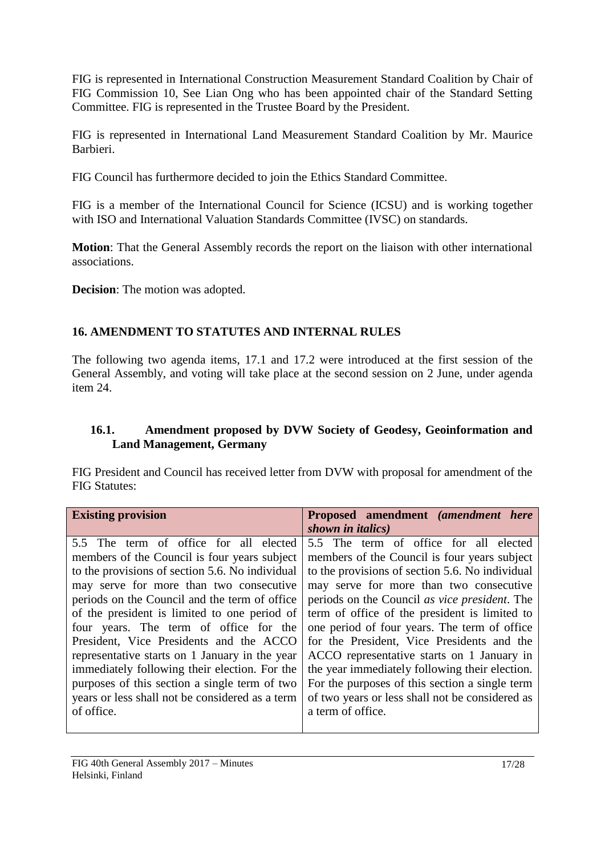FIG is represented in International Construction Measurement Standard Coalition by Chair of FIG Commission 10, See Lian Ong who has been appointed chair of the Standard Setting Committee. FIG is represented in the Trustee Board by the President.

FIG is represented in International Land Measurement Standard Coalition by Mr. Maurice Barbieri.

FIG Council has furthermore decided to join the Ethics Standard Committee.

FIG is a member of the International Council for Science (ICSU) and is working together with ISO and International Valuation Standards Committee (IVSC) on standards.

**Motion**: That the General Assembly records the report on the liaison with other international associations.

**Decision**: The motion was adopted.

## <span id="page-16-0"></span>**16. AMENDMENT TO STATUTES AND INTERNAL RULES**

The following two agenda items, 17.1 and 17.2 were introduced at the first session of the General Assembly, and voting will take place at the second session on 2 June, under agenda item 24.

## <span id="page-16-1"></span>**16.1. Amendment proposed by DVW Society of Geodesy, Geoinformation and Land Management, Germany**

FIG President and Council has received letter from DVW with proposal for amendment of the FIG Statutes:

| <b>Existing provision</b>                       | Proposed amendment (amendment here                    |
|-------------------------------------------------|-------------------------------------------------------|
|                                                 | shown in italics)                                     |
| 5.5 The term of office for all elected          | 5.5 The term of office for all elected                |
| members of the Council is four years subject    | members of the Council is four years subject          |
| to the provisions of section 5.6. No individual | to the provisions of section 5.6. No individual       |
| may serve for more than two consecutive         | may serve for more than two consecutive               |
| periods on the Council and the term of office   | periods on the Council <i>as vice president</i> . The |
| of the president is limited to one period of    | term of office of the president is limited to         |
| four years. The term of office for the          | one period of four years. The term of office          |
| President, Vice Presidents and the ACCO         | for the President, Vice Presidents and the            |
| representative starts on 1 January in the year  | ACCO representative starts on 1 January in            |
| immediately following their election. For the   | the year immediately following their election.        |
| purposes of this section a single term of two   | For the purposes of this section a single term        |
| years or less shall not be considered as a term | of two years or less shall not be considered as       |
| of office.                                      | a term of office.                                     |
|                                                 |                                                       |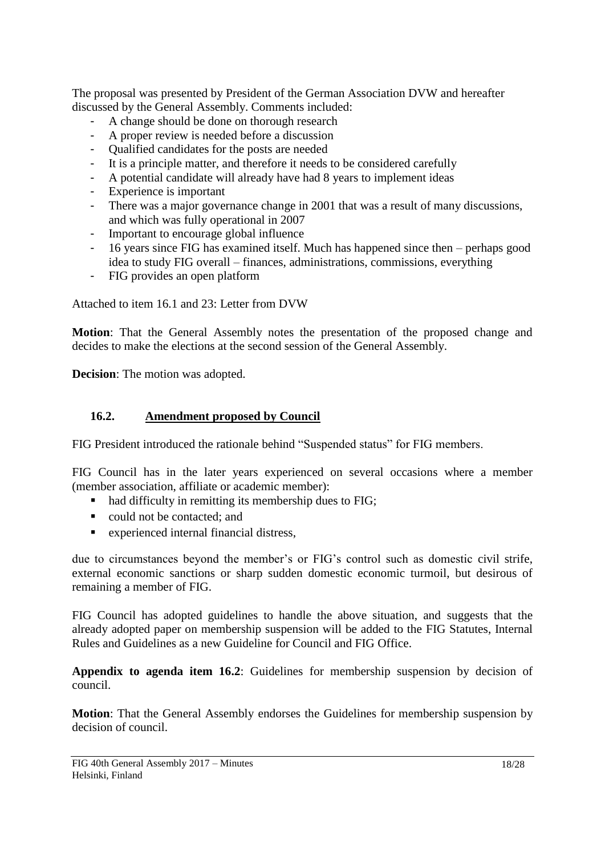The proposal was presented by President of the German Association DVW and hereafter discussed by the General Assembly. Comments included:

- A change should be done on thorough research
- A proper review is needed before a discussion
- Qualified candidates for the posts are needed
- It is a principle matter, and therefore it needs to be considered carefully
- A potential candidate will already have had 8 years to implement ideas
- Experience is important
- There was a major governance change in 2001 that was a result of many discussions, and which was fully operational in 2007
- Important to encourage global influence
- 16 years since FIG has examined itself. Much has happened since then perhaps good idea to study FIG overall – finances, administrations, commissions, everything
- FIG provides an open platform

Attached to item 16.1 and 23: Letter from DVW

**Motion**: That the General Assembly notes the presentation of the proposed change and decides to make the elections at the second session of the General Assembly.

**Decision**: The motion was adopted.

## <span id="page-17-0"></span>**16.2. Amendment proposed by Council**

FIG President introduced the rationale behind "Suspended status" for FIG members.

FIG Council has in the later years experienced on several occasions where a member (member association, affiliate or academic member):

- had difficulty in remitting its membership dues to FIG;
- could not be contacted; and
- experienced internal financial distress,

due to circumstances beyond the member's or FIG's control such as domestic civil strife, external economic sanctions or sharp sudden domestic economic turmoil, but desirous of remaining a member of FIG.

FIG Council has adopted guidelines to handle the above situation, and suggests that the already adopted paper on membership suspension will be added to the FIG Statutes, Internal Rules and Guidelines as a new Guideline for Council and FIG Office.

**Appendix to agenda item 16.2**: Guidelines for membership suspension by decision of council.

**Motion**: That the General Assembly endorses the Guidelines for membership suspension by decision of council.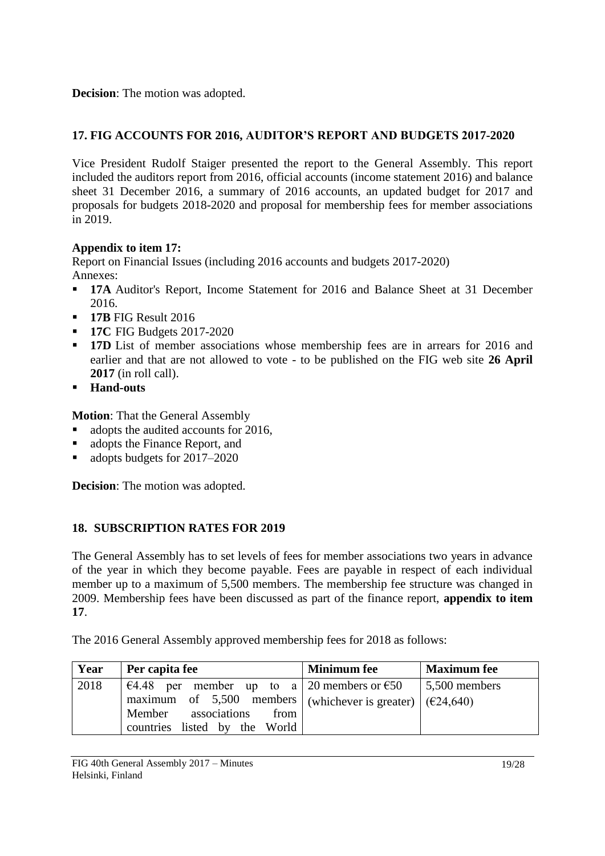**Decision**: The motion was adopted.

## <span id="page-18-0"></span>**17. FIG ACCOUNTS FOR 2016, AUDITOR'S REPORT AND BUDGETS 2017-2020**

Vice President Rudolf Staiger presented the report to the General Assembly. This report included the auditors report from 2016, official accounts (income statement 2016) and balance sheet 31 December 2016, a summary of 2016 accounts, an updated budget for 2017 and proposals for budgets 2018-2020 and proposal for membership fees for member associations in 2019.

## **Appendix to item 17:**

Report on Financial Issues (including 2016 accounts and budgets 2017-2020) Annexes:

- **17A** Auditor's Report, Income Statement for 2016 and Balance Sheet at 31 December 2016.
- **17B** FIG Result 2016
- **17C FIG Budgets 2017-2020**
- **17D** List of member associations whose membership fees are in arrears for 2016 and earlier and that are not allowed to vote - to be published on the FIG web site **26 April 2017** (in roll call).
- **Hand-outs**

**Motion**: That the General Assembly

- adopts the audited accounts for 2016,
- adopts the Finance Report, and
- adopts budgets for 2017–2020

**Decision**: The motion was adopted.

## <span id="page-18-1"></span>**18. SUBSCRIPTION RATES FOR 2019**

The General Assembly has to set levels of fees for member associations two years in advance of the year in which they become payable. Fees are payable in respect of each individual member up to a maximum of 5,500 members. The membership fee structure was changed in 2009. Membership fees have been discussed as part of the finance report, **appendix to item 17**.

The 2016 General Assembly approved membership fees for 2018 as follows:

| Year | Per capita fee                                                  | <b>Minimum</b> fee | <b>Maximum</b> fee   |
|------|-----------------------------------------------------------------|--------------------|----------------------|
| 2018 | €4.48 per member up to a 20 members or €50                      |                    | $\mid$ 5,500 members |
|      | maximum of 5,500 members   (whichever is greater) $ $ (€24,640) |                    |                      |
|      | Member associations from                                        |                    |                      |
|      | countries listed by the World                                   |                    |                      |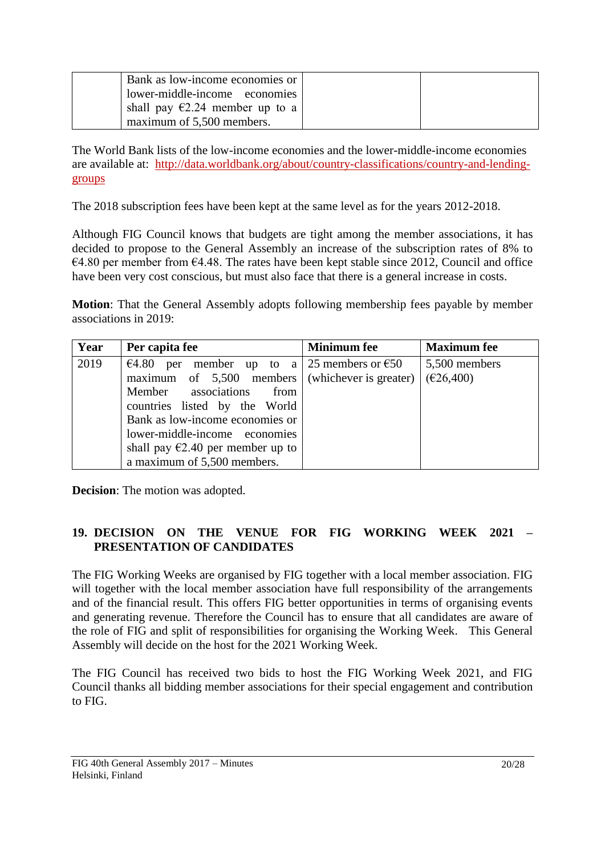| Bank as low-income economies or          |  |
|------------------------------------------|--|
| lower-middle-income economies            |  |
| shall pay $\epsilon$ 2.24 member up to a |  |
| maximum of 5,500 members.                |  |

The World Bank lists of the low-income economies and the lower-middle-income economies are available at: [http://data.worldbank.org/about/country-classifications/country-and-lending](http://data.worldbank.org/about/country-classifications/country-and-lending-groups)[groups](http://data.worldbank.org/about/country-classifications/country-and-lending-groups) 

The 2018 subscription fees have been kept at the same level as for the years 2012-2018.

Although FIG Council knows that budgets are tight among the member associations, it has decided to propose to the General Assembly an increase of the subscription rates of 8% to  $€4.80$  per member from  $€4.48$ . The rates have been kept stable since 2012, Council and office have been very cost conscious, but must also face that there is a general increase in costs.

**Motion**: That the General Assembly adopts following membership fees payable by member associations in 2019:

| Year | Per capita fee                                            | <b>Minimum</b> fee | <b>Maximum</b> fee |
|------|-----------------------------------------------------------|--------------------|--------------------|
| 2019 | $€4.80$ per<br>member up to a 25 members or $\epsilon$ 50 |                    | 5,500 members      |
|      | maximum of $5,500$ members (whichever is greater)         |                    | (E26,400)          |
|      | Member associations<br>from                               |                    |                    |
|      | countries listed by the World                             |                    |                    |
|      | Bank as low-income economies or                           |                    |                    |
|      | lower-middle-income economies                             |                    |                    |
|      | shall pay $\epsilon$ 2.40 per member up to                |                    |                    |
|      | a maximum of 5,500 members.                               |                    |                    |

**Decision**: The motion was adopted.

## <span id="page-19-0"></span>**19. DECISION ON THE VENUE FOR FIG WORKING WEEK 2021 – PRESENTATION OF CANDIDATES**

The FIG Working Weeks are organised by FIG together with a local member association. FIG will together with the local member association have full responsibility of the arrangements and of the financial result. This offers FIG better opportunities in terms of organising events and generating revenue. Therefore the Council has to ensure that all candidates are aware of the role of FIG and split of responsibilities for organising the Working Week. This General Assembly will decide on the host for the 2021 Working Week.

The FIG Council has received two bids to host the FIG Working Week 2021, and FIG Council thanks all bidding member associations for their special engagement and contribution to FIG.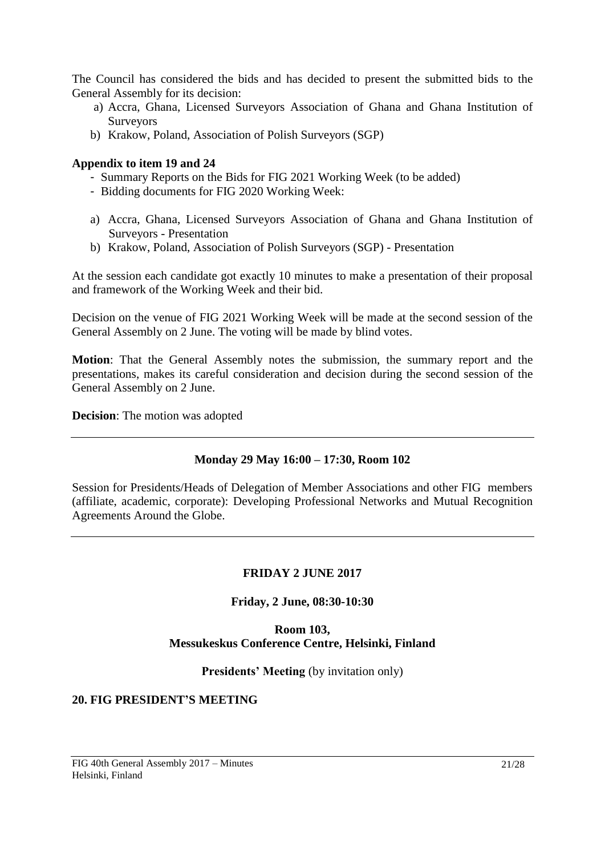The Council has considered the bids and has decided to present the submitted bids to the General Assembly for its decision:

- a) Accra, Ghana, Licensed Surveyors Association of Ghana and Ghana Institution of **Surveyors**
- b) Krakow, Poland, Association of Polish Surveyors (SGP)

#### **Appendix to item 19 and 24**

- Summary Reports on the Bids for FIG 2021 Working Week (to be added)
- Bidding documents for FIG 2020 Working Week:
- a) Accra, Ghana, Licensed Surveyors Association of Ghana and Ghana Institution of Surveyors - Presentation
- b) Krakow, Poland, Association of Polish Surveyors (SGP) Presentation

At the session each candidate got exactly 10 minutes to make a presentation of their proposal and framework of the Working Week and their bid.

Decision on the venue of FIG 2021 Working Week will be made at the second session of the General Assembly on 2 June. The voting will be made by blind votes.

**Motion**: That the General Assembly notes the submission, the summary report and the presentations, makes its careful consideration and decision during the second session of the General Assembly on 2 June.

**Decision**: The motion was adopted

### **Monday 29 May 16:00 – 17:30, Room 102**

<span id="page-20-0"></span>Session for Presidents/Heads of Delegation of Member Associations and other FIG members (affiliate, academic, corporate): Developing Professional Networks and Mutual Recognition Agreements Around the Globe.

### **FRIDAY 2 JUNE 2017**

### **Friday, 2 June, 08:30-10:30**

## **Room 103, Messukeskus Conference Centre, Helsinki, Finland**

#### **Presidents' Meeting** (by invitation only)

#### <span id="page-20-1"></span>**20. FIG PRESIDENT'S MEETING**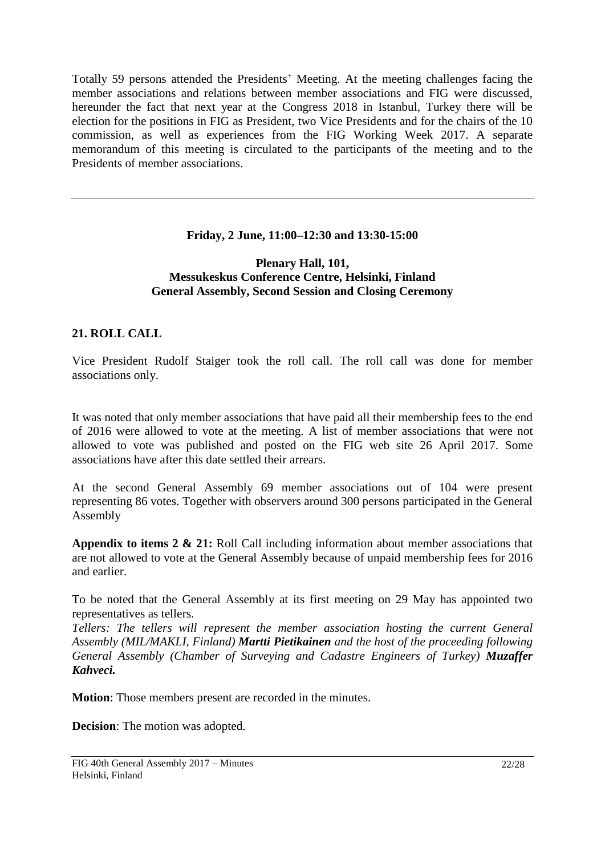Totally 59 persons attended the Presidents' Meeting. At the meeting challenges facing the member associations and relations between member associations and FIG were discussed, hereunder the fact that next year at the Congress 2018 in Istanbul, Turkey there will be election for the positions in FIG as President, two Vice Presidents and for the chairs of the 10 commission, as well as experiences from the FIG Working Week 2017. A separate memorandum of this meeting is circulated to the participants of the meeting and to the Presidents of member associations.

## **Friday, 2 June, 11:00–12:30 and 13:30-15:00**

#### **Plenary Hall, 101, Messukeskus Conference Centre, Helsinki, Finland General Assembly, Second Session and Closing Ceremony**

## <span id="page-21-0"></span>**21. ROLL CALL**

Vice President Rudolf Staiger took the roll call. The roll call was done for member associations only.

It was noted that only member associations that have paid all their membership fees to the end of 2016 were allowed to vote at the meeting. A list of member associations that were not allowed to vote was published and posted on the FIG web site 26 April 2017. Some associations have after this date settled their arrears.

At the second General Assembly 69 member associations out of 104 were present representing 86 votes. Together with observers around 300 persons participated in the General Assembly

**Appendix to items 2 & 21:** Roll Call including information about member associations that are not allowed to vote at the General Assembly because of unpaid membership fees for 2016 and earlier.

To be noted that the General Assembly at its first meeting on 29 May has appointed two representatives as tellers.

*Tellers: The tellers will represent the member association hosting the current General Assembly (MIL/MAKLI, Finland) Martti Pietikainen and the host of the proceeding following General Assembly (Chamber of Surveying and Cadastre Engineers of Turkey) Muzaffer Kahveci.*

**Motion**: Those members present are recorded in the minutes.

**Decision**: The motion was adopted.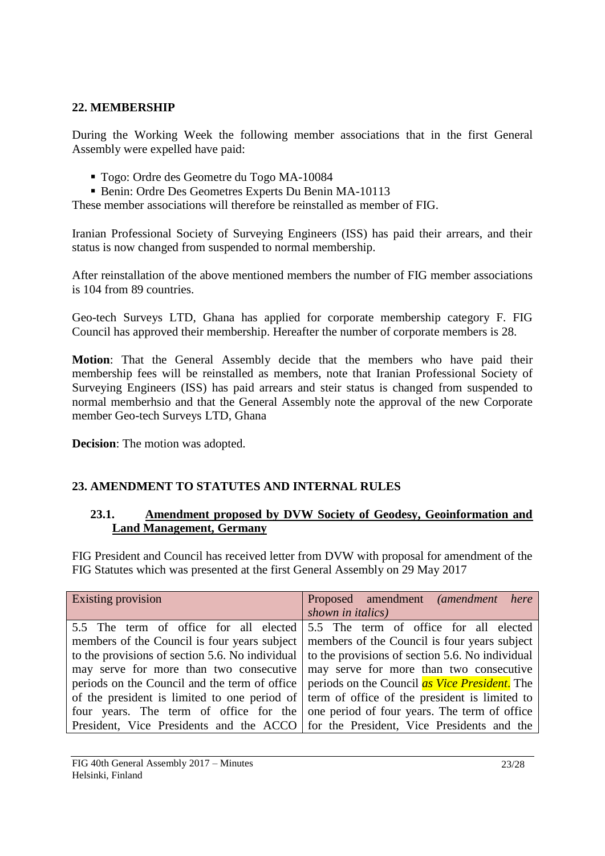## <span id="page-22-0"></span>**22. MEMBERSHIP**

During the Working Week the following member associations that in the first General Assembly were expelled have paid:

- Togo: Ordre des Geometre du Togo MA-10084
- Benin: Ordre Des Geometres Experts Du Benin MA-10113

These member associations will therefore be reinstalled as member of FIG.

Iranian Professional Society of Surveying Engineers (ISS) has paid their arrears, and their status is now changed from suspended to normal membership.

After reinstallation of the above mentioned members the number of FIG member associations is 104 from 89 countries.

Geo-tech Surveys LTD, Ghana has applied for corporate membership category F. FIG Council has approved their membership. Hereafter the number of corporate members is 28.

**Motion**: That the General Assembly decide that the members who have paid their membership fees will be reinstalled as members, note that Iranian Professional Society of Surveying Engineers (ISS) has paid arrears and steir status is changed from suspended to normal memberhsio and that the General Assembly note the approval of the new Corporate member Geo-tech Surveys LTD, Ghana

**Decision**: The motion was adopted.

## <span id="page-22-1"></span>**23. AMENDMENT TO STATUTES AND INTERNAL RULES**

### <span id="page-22-2"></span>**23.1. Amendment proposed by DVW Society of Geodesy, Geoinformation and Land Management, Germany**

FIG President and Council has received letter from DVW with proposal for amendment of the FIG Statutes which was presented at the first General Assembly on 29 May 2017

| <b>Existing provision</b>                                                                          | Proposed amendment (amendment here                                                                      |
|----------------------------------------------------------------------------------------------------|---------------------------------------------------------------------------------------------------------|
|                                                                                                    | shown in <i>italics</i> )                                                                               |
|                                                                                                    | 5.5 The term of office for all elected 5.5 The term of office for all elected                           |
| members of the Council is four years subject   members of the Council is four years subject        |                                                                                                         |
|                                                                                                    | to the provisions of section 5.6. No individual $\vert$ to the provisions of section 5.6. No individual |
|                                                                                                    | may serve for more than two consecutive   may serve for more than two consecutive                       |
|                                                                                                    | periods on the Council and the term of office   periods on the Council as Vice President. The           |
| of the president is limited to one period of $\vert$ term of office of the president is limited to |                                                                                                         |
|                                                                                                    | four years. The term of office for the one period of four years. The term of office                     |
| President, Vice Presidents and the ACCO for the President, Vice Presidents and the                 |                                                                                                         |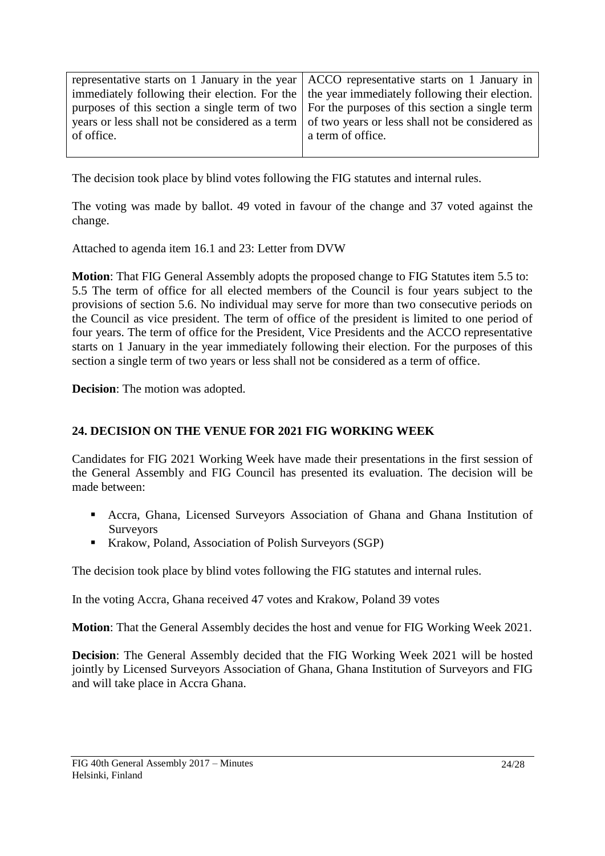| representative starts on 1 January in the year $\vert$ ACCO representative starts on 1 January in    |                                                                                                   |
|------------------------------------------------------------------------------------------------------|---------------------------------------------------------------------------------------------------|
| immediately following their election. For the $\vert$ the year immediately following their election. |                                                                                                   |
| purposes of this section a single term of two $\vert$ For the purposes of this section a single term |                                                                                                   |
|                                                                                                      | years or less shall not be considered as a term   of two years or less shall not be considered as |
| of office.                                                                                           | a term of office.                                                                                 |
|                                                                                                      |                                                                                                   |

The decision took place by blind votes following the FIG statutes and internal rules.

The voting was made by ballot. 49 voted in favour of the change and 37 voted against the change.

Attached to agenda item 16.1 and 23: Letter from DVW

**Motion**: That FIG General Assembly adopts the proposed change to FIG Statutes item 5.5 to: 5.5 The term of office for all elected members of the Council is four years subject to the provisions of section 5.6. No individual may serve for more than two consecutive periods on the Council as vice president. The term of office of the president is limited to one period of four years. The term of office for the President, Vice Presidents and the ACCO representative starts on 1 January in the year immediately following their election. For the purposes of this section a single term of two years or less shall not be considered as a term of office.

**Decision**: The motion was adopted.

### <span id="page-23-0"></span>**24. DECISION ON THE VENUE FOR 2021 FIG WORKING WEEK**

Candidates for FIG 2021 Working Week have made their presentations in the first session of the General Assembly and FIG Council has presented its evaluation. The decision will be made between:

- Accra, Ghana, Licensed Surveyors Association of Ghana and Ghana Institution of Surveyors
- Krakow, Poland, Association of Polish Surveyors (SGP)

The decision took place by blind votes following the FIG statutes and internal rules.

In the voting Accra, Ghana received 47 votes and Krakow, Poland 39 votes

**Motion**: That the General Assembly decides the host and venue for FIG Working Week 2021.

**Decision**: The General Assembly decided that the FIG Working Week 2021 will be hosted jointly by Licensed Surveyors Association of Ghana, Ghana Institution of Surveyors and FIG and will take place in Accra Ghana.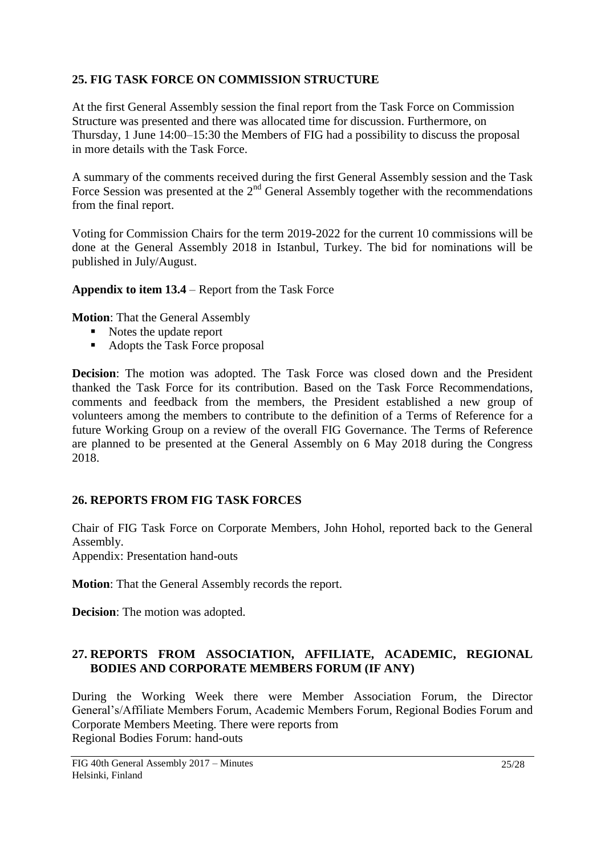## <span id="page-24-0"></span>**25. FIG TASK FORCE ON COMMISSION STRUCTURE**

At the first General Assembly session the final report from the Task Force on Commission Structure was presented and there was allocated time for discussion. Furthermore, on Thursday, 1 June 14:00–15:30 the Members of FIG had a possibility to discuss the proposal in more details with the Task Force.

A summary of the comments received during the first General Assembly session and the Task Force Session was presented at the  $2<sup>nd</sup>$  General Assembly together with the recommendations from the final report.

Voting for Commission Chairs for the term 2019-2022 for the current 10 commissions will be done at the General Assembly 2018 in Istanbul, Turkey. The bid for nominations will be published in July/August.

**Appendix to item 13.4** – Report from the Task Force

**Motion**: That the General Assembly

- Notes the update report
- Adopts the Task Force proposal

**Decision**: The motion was adopted. The Task Force was closed down and the President thanked the Task Force for its contribution. Based on the Task Force Recommendations, comments and feedback from the members, the President established a new group of volunteers among the members to contribute to the definition of a Terms of Reference for a future Working Group on a review of the overall FIG Governance. The Terms of Reference are planned to be presented at the General Assembly on 6 May 2018 during the Congress 2018.

## <span id="page-24-1"></span>**26. REPORTS FROM FIG TASK FORCES**

Chair of FIG Task Force on Corporate Members, John Hohol, reported back to the General Assembly.

Appendix: Presentation hand-outs

**Motion**: That the General Assembly records the report.

**Decision**: The motion was adopted.

## <span id="page-24-2"></span>**27. REPORTS FROM ASSOCIATION, AFFILIATE, ACADEMIC, REGIONAL BODIES AND CORPORATE MEMBERS FORUM (IF ANY)**

During the Working Week there were Member Association Forum, the Director General's/Affiliate Members Forum, Academic Members Forum, Regional Bodies Forum and Corporate Members Meeting. There were reports from Regional Bodies Forum: hand-outs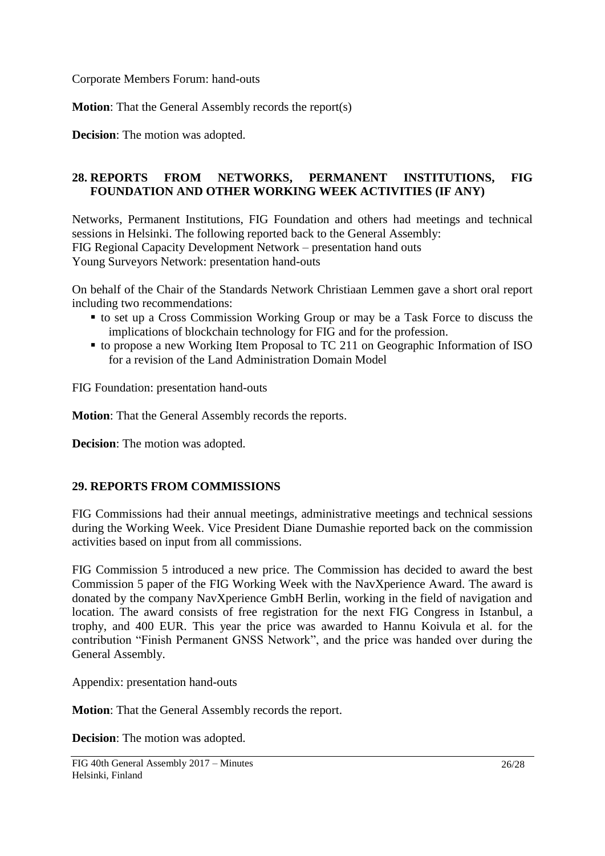Corporate Members Forum: hand-outs

**Motion**: That the General Assembly records the report(s)

**Decision**: The motion was adopted.

## <span id="page-25-0"></span>**28. REPORTS FROM NETWORKS, PERMANENT INSTITUTIONS, FIG FOUNDATION AND OTHER WORKING WEEK ACTIVITIES (IF ANY)**

Networks, Permanent Institutions, FIG Foundation and others had meetings and technical sessions in Helsinki. The following reported back to the General Assembly: FIG Regional Capacity Development Network – presentation hand outs Young Surveyors Network: presentation hand-outs

On behalf of the Chair of the Standards Network Christiaan Lemmen gave a short oral report including two recommendations:

- to set up a Cross Commission Working Group or may be a Task Force to discuss the implications of blockchain technology for FIG and for the profession.
- to propose a new Working Item Proposal to TC 211 on Geographic Information of ISO for a revision of the Land Administration Domain Model

FIG Foundation: presentation hand-outs

**Motion**: That the General Assembly records the reports.

**Decision**: The motion was adopted.

### <span id="page-25-1"></span>**29. REPORTS FROM COMMISSIONS**

FIG Commissions had their annual meetings, administrative meetings and technical sessions during the Working Week. Vice President Diane Dumashie reported back on the commission activities based on input from all commissions.

FIG Commission 5 introduced a new price. The Commission has decided to award the best Commission 5 paper of the FIG Working Week with the NavXperience Award. The award is donated by the company NavXperience GmbH Berlin, working in the field of navigation and location. The award consists of free registration for the next FIG Congress in Istanbul, a trophy, and 400 EUR. This year the price was awarded to Hannu Koivula et al. for the contribution "Finish Permanent GNSS Network", and the price was handed over during the General Assembly.

Appendix: presentation hand-outs

**Motion**: That the General Assembly records the report.

**Decision**: The motion was adopted.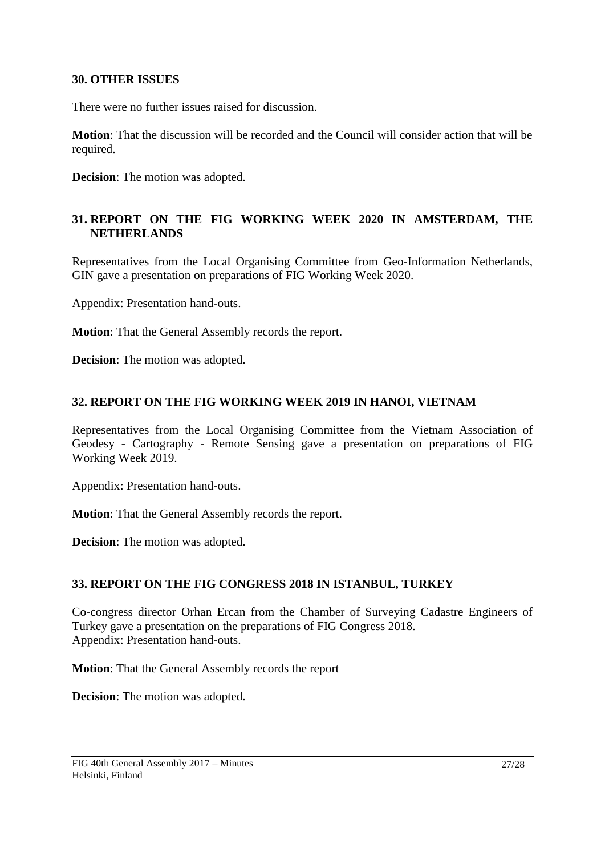### <span id="page-26-0"></span>**30. OTHER ISSUES**

There were no further issues raised for discussion.

**Motion**: That the discussion will be recorded and the Council will consider action that will be required.

**Decision**: The motion was adopted.

## <span id="page-26-1"></span>**31. REPORT ON THE FIG WORKING WEEK 2020 IN AMSTERDAM, THE NETHERLANDS**

Representatives from the Local Organising Committee from Geo-Information Netherlands, GIN gave a presentation on preparations of FIG Working Week 2020.

Appendix: Presentation hand-outs.

**Motion**: That the General Assembly records the report.

**Decision**: The motion was adopted.

## <span id="page-26-2"></span>**32. REPORT ON THE FIG WORKING WEEK 2019 IN HANOI, VIETNAM**

Representatives from the Local Organising Committee from the Vietnam Association of Geodesy - Cartography - Remote Sensing gave a presentation on preparations of FIG Working Week 2019.

Appendix: Presentation hand-outs.

**Motion**: That the General Assembly records the report.

**Decision**: The motion was adopted.

### <span id="page-26-3"></span>**33. REPORT ON THE FIG CONGRESS 2018 IN ISTANBUL, TURKEY**

Co-congress director Orhan Ercan from the Chamber of Surveying Cadastre Engineers of Turkey gave a presentation on the preparations of FIG Congress 2018. Appendix: Presentation hand-outs.

**Motion**: That the General Assembly records the report

**Decision**: The motion was adopted.